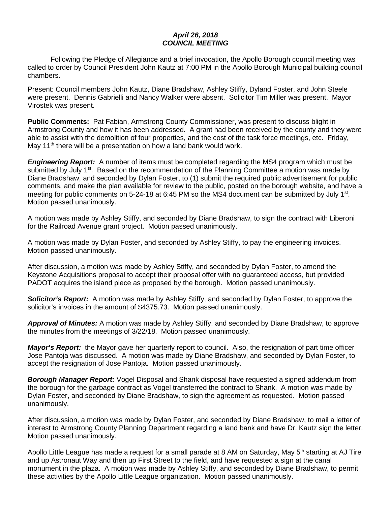## *April 26, 2018 COUNCIL MEETING*

Following the Pledge of Allegiance and a brief invocation, the Apollo Borough council meeting was called to order by Council President John Kautz at 7:00 PM in the Apollo Borough Municipal building council chambers.

Present: Council members John Kautz, Diane Bradshaw, Ashley Stiffy, Dyland Foster, and John Steele were present. Dennis Gabrielli and Nancy Walker were absent. Solicitor Tim Miller was present. Mayor Virostek was present.

**Public Comments:** Pat Fabian, Armstrong County Commissioner, was present to discuss blight in Armstrong County and how it has been addressed. A grant had been received by the county and they were able to assist with the demolition of four properties, and the cost of the task force meetings, etc. Friday, May 11<sup>th</sup> there will be a presentation on how a land bank would work.

*Engineering Report:* A number of items must be completed regarding the MS4 program which must be submitted by July 1<sup>st</sup>. Based on the recommendation of the Planning Committee a motion was made by Diane Bradshaw, and seconded by Dylan Foster, to (1) submit the required public advertisement for public comments, and make the plan available for review to the public, posted on the borough website, and have a meeting for public comments on 5-24-18 at 6:45 PM so the MS4 document can be submitted by July 1<sup>st</sup>. Motion passed unanimously.

A motion was made by Ashley Stiffy, and seconded by Diane Bradshaw, to sign the contract with Liberoni for the Railroad Avenue grant project. Motion passed unanimously.

A motion was made by Dylan Foster, and seconded by Ashley Stiffy, to pay the engineering invoices. Motion passed unanimously.

After discussion, a motion was made by Ashley Stiffy, and seconded by Dylan Foster, to amend the Keystone Acquisitions proposal to accept their proposal offer with no guaranteed access, but provided PADOT acquires the island piece as proposed by the borough. Motion passed unanimously.

*Solicitor's Report:* A motion was made by Ashley Stiffy, and seconded by Dylan Foster, to approve the solicitor's invoices in the amount of \$4375.73. Motion passed unanimously.

*Approval of Minutes:* A motion was made by Ashley Stiffy, and seconded by Diane Bradshaw, to approve the minutes from the meetings of 3/22/18. Motion passed unanimously.

*Mayor's Report:* the Mayor gave her quarterly report to council. Also, the resignation of part time officer Jose Pantoja was discussed. A motion was made by Diane Bradshaw, and seconded by Dylan Foster, to accept the resignation of Jose Pantoja. Motion passed unanimously.

*Borough Manager Report:* Vogel Disposal and Shank disposal have requested a signed addendum from the borough for the garbage contract as Vogel transferred the contract to Shank. A motion was made by Dylan Foster, and seconded by Diane Bradshaw, to sign the agreement as requested. Motion passed unanimously.

After discussion, a motion was made by Dylan Foster, and seconded by Diane Bradshaw, to mail a letter of interest to Armstrong County Planning Department regarding a land bank and have Dr. Kautz sign the letter. Motion passed unanimously.

Apollo Little League has made a request for a small parade at 8 AM on Saturday, May 5<sup>th</sup> starting at AJ Tire and up Astronaut Way and then up First Street to the field, and have requested a sign at the canal monument in the plaza. A motion was made by Ashley Stiffy, and seconded by Diane Bradshaw, to permit these activities by the Apollo Little League organization. Motion passed unanimously.